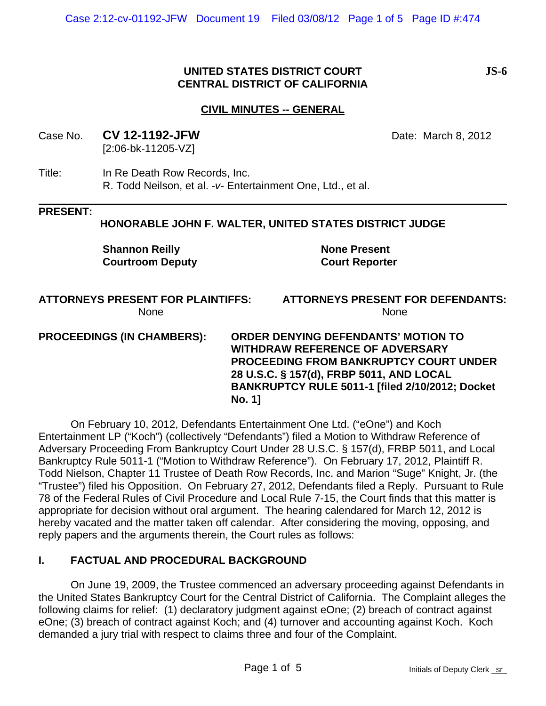## **UNITED STATES DISTRICT COURT JS-6 CENTRAL DISTRICT OF CALIFORNIA**

## **CIVIL MINUTES -- GENERAL**

Case No. **CV 12-1192-JFW** Date: March 8, 2012 [2:06-bk-11205-VZ]

Title: In Re Death Row Records, Inc. R. Todd Neilson, et al. *-v-* Entertainment One, Ltd., et al.

#### **PRESENT:**

#### **HONORABLE JOHN F. WALTER, UNITED STATES DISTRICT JUDGE**

**Shannon Reilly Courtroom Deputy** **None Present Court Reporter**

#### **ATTORNEYS PRESENT FOR PLAINTIFFS:** None

**ATTORNEYS PRESENT FOR DEFENDANTS:** None

**PROCEEDINGS (IN CHAMBERS): ORDER DENYING DEFENDANTS' MOTION TO WITHDRAW REFERENCE OF ADVERSARY PROCEEDING FROM BANKRUPTCY COURT UNDER 28 U.S.C. § 157(d), FRBP 5011, AND LOCAL BANKRUPTCY RULE 5011-1 [filed 2/10/2012; Docket No. 1]**

On February 10, 2012, Defendants Entertainment One Ltd. ("eOne") and Koch Entertainment LP ("Koch") (collectively "Defendants") filed a Motion to Withdraw Reference of Adversary Proceeding From Bankruptcy Court Under 28 U.S.C. § 157(d), FRBP 5011, and Local Bankruptcy Rule 5011-1 ("Motion to Withdraw Reference"). On February 17, 2012, Plaintiff R. Todd Nielson, Chapter 11 Trustee of Death Row Records, Inc. and Marion "Suge" Knight, Jr. (the "Trustee") filed his Opposition. On February 27, 2012, Defendants filed a Reply. Pursuant to Rule 78 of the Federal Rules of Civil Procedure and Local Rule 7-15, the Court finds that this matter is appropriate for decision without oral argument. The hearing calendared for March 12, 2012 is hereby vacated and the matter taken off calendar. After considering the moving, opposing, and reply papers and the arguments therein, the Court rules as follows:

#### **I. FACTUAL AND PROCEDURAL BACKGROUND**

On June 19, 2009, the Trustee commenced an adversary proceeding against Defendants in the United States Bankruptcy Court for the Central District of California. The Complaint alleges the following claims for relief: (1) declaratory judgment against eOne; (2) breach of contract against eOne; (3) breach of contract against Koch; and (4) turnover and accounting against Koch. Koch demanded a jury trial with respect to claims three and four of the Complaint.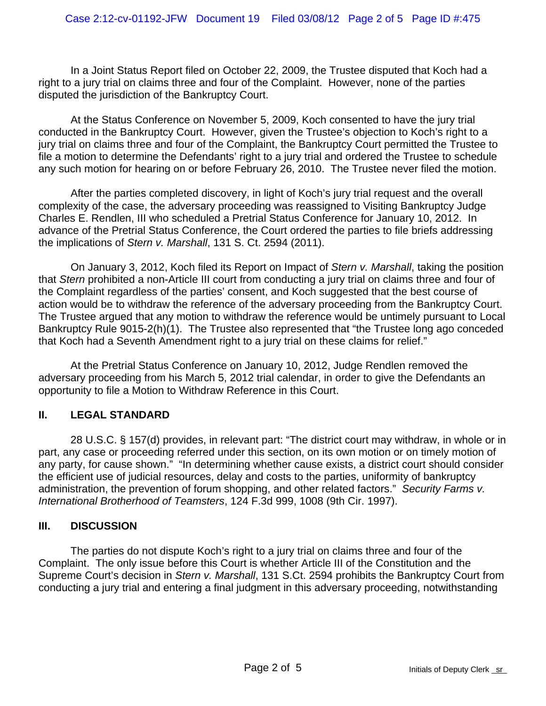In a Joint Status Report filed on October 22, 2009, the Trustee disputed that Koch had a right to a jury trial on claims three and four of the Complaint. However, none of the parties disputed the jurisdiction of the Bankruptcy Court.

At the Status Conference on November 5, 2009, Koch consented to have the jury trial conducted in the Bankruptcy Court. However, given the Trustee's objection to Koch's right to a jury trial on claims three and four of the Complaint, the Bankruptcy Court permitted the Trustee to file a motion to determine the Defendants' right to a jury trial and ordered the Trustee to schedule any such motion for hearing on or before February 26, 2010. The Trustee never filed the motion.

After the parties completed discovery, in light of Koch's jury trial request and the overall complexity of the case, the adversary proceeding was reassigned to Visiting Bankruptcy Judge Charles E. Rendlen, III who scheduled a Pretrial Status Conference for January 10, 2012. In advance of the Pretrial Status Conference, the Court ordered the parties to file briefs addressing the implications of *Stern v. Marshall*, 131 S. Ct. 2594 (2011).

On January 3, 2012, Koch filed its Report on Impact of *Stern v. Marshall*, taking the position that *Stern* prohibited a non-Article III court from conducting a jury trial on claims three and four of the Complaint regardless of the parties' consent, and Koch suggested that the best course of action would be to withdraw the reference of the adversary proceeding from the Bankruptcy Court. The Trustee argued that any motion to withdraw the reference would be untimely pursuant to Local Bankruptcy Rule 9015-2(h)(1). The Trustee also represented that "the Trustee long ago conceded that Koch had a Seventh Amendment right to a jury trial on these claims for relief."

At the Pretrial Status Conference on January 10, 2012, Judge Rendlen removed the adversary proceeding from his March 5, 2012 trial calendar, in order to give the Defendants an opportunity to file a Motion to Withdraw Reference in this Court.

# **II. LEGAL STANDARD**

28 U.S.C. § 157(d) provides, in relevant part: "The district court may withdraw, in whole or in part, any case or proceeding referred under this section, on its own motion or on timely motion of any party, for cause shown." "In determining whether cause exists, a district court should consider the efficient use of judicial resources, delay and costs to the parties, uniformity of bankruptcy administration, the prevention of forum shopping, and other related factors." *Security Farms v. International Brotherhood of Teamsters*, 124 F.3d 999, 1008 (9th Cir. 1997).

## **III. DISCUSSION**

The parties do not dispute Koch's right to a jury trial on claims three and four of the Complaint. The only issue before this Court is whether Article III of the Constitution and the Supreme Court's decision in *Stern v. Marshall*, 131 S.Ct. 2594 prohibits the Bankruptcy Court from conducting a jury trial and entering a final judgment in this adversary proceeding, notwithstanding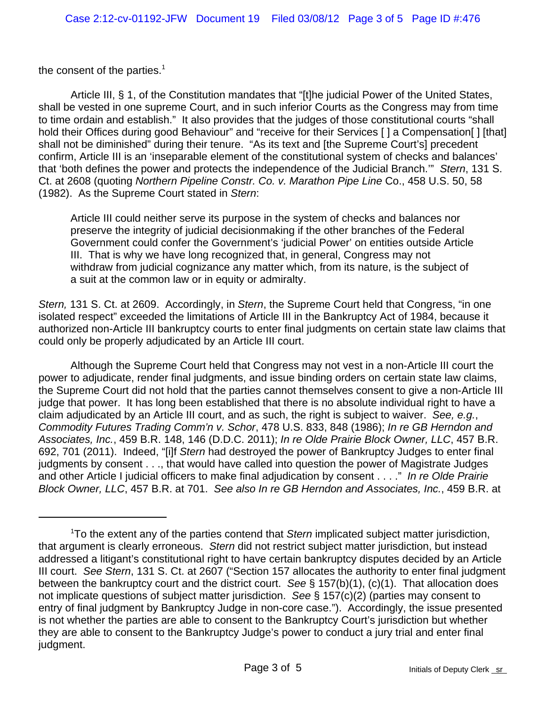the consent of the parties.<sup>1</sup>

Article III, § 1, of the Constitution mandates that "[t]he judicial Power of the United States, shall be vested in one supreme Court, and in such inferior Courts as the Congress may from time to time ordain and establish." It also provides that the judges of those constitutional courts "shall hold their Offices during good Behaviour" and "receive for their Services [] a Compensation[] [that] shall not be diminished" during their tenure. "As its text and [the Supreme Court's] precedent confirm, Article III is an 'inseparable element of the constitutional system of checks and balances' that 'both defines the power and protects the independence of the Judicial Branch.'" *Stern*, 131 S. Ct. at 2608 (quoting *Northern Pipeline Constr. Co. v. Marathon Pipe Line* Co., 458 U.S. 50, 58 (1982). As the Supreme Court stated in *Stern*:

Article III could neither serve its purpose in the system of checks and balances nor preserve the integrity of judicial decisionmaking if the other branches of the Federal Government could confer the Government's 'judicial Power' on entities outside Article III. That is why we have long recognized that, in general, Congress may not withdraw from judicial cognizance any matter which, from its nature, is the subject of a suit at the common law or in equity or admiralty.

*Stern,* 131 S. Ct. at 2609. Accordingly, in *Stern*, the Supreme Court held that Congress, "in one isolated respect" exceeded the limitations of Article III in the Bankruptcy Act of 1984, because it authorized non-Article III bankruptcy courts to enter final judgments on certain state law claims that could only be properly adjudicated by an Article III court.

Although the Supreme Court held that Congress may not vest in a non-Article III court the power to adjudicate, render final judgments, and issue binding orders on certain state law claims, the Supreme Court did not hold that the parties cannot themselves consent to give a non-Article III judge that power. It has long been established that there is no absolute individual right to have a claim adjudicated by an Article III court, and as such, the right is subject to waiver. *See, e.g.*, *Commodity Futures Trading Comm'n v. Schor*, 478 U.S. 833, 848 (1986); *In re GB Herndon and Associates, Inc.*, 459 B.R. 148, 146 (D.D.C. 2011); *In re Olde Prairie Block Owner, LLC*, 457 B.R. 692, 701 (2011). Indeed, "[i]f *Stern* had destroyed the power of Bankruptcy Judges to enter final judgments by consent . . ., that would have called into question the power of Magistrate Judges and other Article I judicial officers to make final adjudication by consent . . . ." *In re Olde Prairie Block Owner, LLC*, 457 B.R. at 701. *See also In re GB Herndon and Associates, Inc.*, 459 B.R. at

<sup>1</sup> To the extent any of the parties contend that *Stern* implicated subject matter jurisdiction, that argument is clearly erroneous. *Stern* did not restrict subject matter jurisdiction, but instead addressed a litigant's constitutional right to have certain bankruptcy disputes decided by an Article III court. *See Stern*, 131 S. Ct. at 2607 ("Section 157 allocates the authority to enter final judgment between the bankruptcy court and the district court. *See* § 157(b)(1), (c)(1). That allocation does not implicate questions of subject matter jurisdiction. *See* § 157(c)(2) (parties may consent to entry of final judgment by Bankruptcy Judge in non-core case."). Accordingly, the issue presented is not whether the parties are able to consent to the Bankruptcy Court's jurisdiction but whether they are able to consent to the Bankruptcy Judge's power to conduct a jury trial and enter final judgment.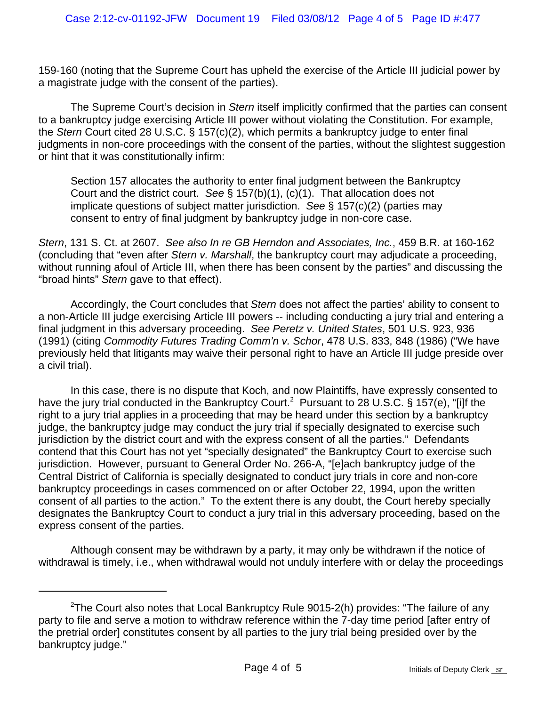159-160 (noting that the Supreme Court has upheld the exercise of the Article III judicial power by a magistrate judge with the consent of the parties).

The Supreme Court's decision in *Stern* itself implicitly confirmed that the parties can consent to a bankruptcy judge exercising Article III power without violating the Constitution. For example, the *Stern* Court cited 28 U.S.C. § 157(c)(2), which permits a bankruptcy judge to enter final judgments in non-core proceedings with the consent of the parties, without the slightest suggestion or hint that it was constitutionally infirm:

Section 157 allocates the authority to enter final judgment between the Bankruptcy Court and the district court. *See* § 157(b)(1), (c)(1). That allocation does not implicate questions of subject matter jurisdiction. *See* § 157(c)(2) (parties may consent to entry of final judgment by bankruptcy judge in non-core case.

*Stern*, 131 S. Ct. at 2607. *See also In re GB Herndon and Associates, Inc.*, 459 B.R. at 160-162 (concluding that "even after *Stern v. Marshall*, the bankruptcy court may adjudicate a proceeding, without running afoul of Article III, when there has been consent by the parties" and discussing the "broad hints" *Stern* gave to that effect).

Accordingly, the Court concludes that *Stern* does not affect the parties' ability to consent to a non-Article III judge exercising Article III powers -- including conducting a jury trial and entering a final judgment in this adversary proceeding. *See Peretz v. United States*, 501 U.S. 923, 936 (1991) (citing *Commodity Futures Trading Comm'n v. Schor*, 478 U.S. 833, 848 (1986) ("We have previously held that litigants may waive their personal right to have an Article III judge preside over a civil trial).

In this case, there is no dispute that Koch, and now Plaintiffs, have expressly consented to have the jury trial conducted in the Bankruptcy Court.<sup>2</sup> Pursuant to 28 U.S.C. § 157(e), "[i]f the right to a jury trial applies in a proceeding that may be heard under this section by a bankruptcy judge, the bankruptcy judge may conduct the jury trial if specially designated to exercise such jurisdiction by the district court and with the express consent of all the parties." Defendants contend that this Court has not yet "specially designated" the Bankruptcy Court to exercise such jurisdiction. However, pursuant to General Order No. 266-A, "[e]ach bankruptcy judge of the Central District of California is specially designated to conduct jury trials in core and non-core bankruptcy proceedings in cases commenced on or after October 22, 1994, upon the written consent of all parties to the action." To the extent there is any doubt, the Court hereby specially designates the Bankruptcy Court to conduct a jury trial in this adversary proceeding, based on the express consent of the parties.

Although consent may be withdrawn by a party, it may only be withdrawn if the notice of withdrawal is timely, i.e., when withdrawal would not unduly interfere with or delay the proceedings

 $2$ The Court also notes that Local Bankruptcy Rule 9015-2(h) provides: "The failure of any party to file and serve a motion to withdraw reference within the 7-day time period [after entry of the pretrial order] constitutes consent by all parties to the jury trial being presided over by the bankruptcy judge."